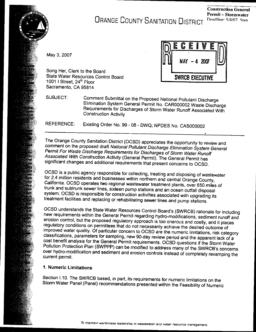**ORANGE COUNTY SANITATION DISTRICT** 

May 3, 2007

**SWRCB EXECUTIVE** 

State Water Resources Control Board 1001 | Street, 24<sup>th</sup> Floor Sacramento, CA 95814

Song Her, Clerk to the Board

**SUBJECT:** 

Comment Submittal on the Proposed National Pollutant Discharge Elimination System General Permit No. CAR000002 Waste Discharge Requirements for Discharges of Storm Water Runoff Associated With **Construction Activity** 

Existing Order No. 99 - 08 - DWQ; NPDES No. CAS000002 **REFERENCE:** 

The Orange County Sanitation District (OCSD) appreciates the opportunity to review and comment on the proposed draft National Pollutant Discharge Elimination System General Permit For Waste Discharge Requirements for Discharges of Storm Water Runoff Associated With Construction Activity (General Permit). The General Permit has significant changes and additional requirements that present concerns to OCSD.

OCSD is a public agency responsible for collecting, treating and disposing of wastewater for 2.4 million residents and businesses within northern and central Orange County, California. OCSD operates two regional wastewater treatment plants, over 650 miles of trunk and subtrunk sewer lines, sixteen pump stations and an ocean outfall disposal system. OCSD is responsible for construction activities associated with upgrading its treatment facilities and replacing or rehabilitating sewer lines and pump stations.

OCSD understands the State Water Resources Control Board's (SWRCB) rationale for including new requirements within the General Permit regarding hydro-modifications, sediment runoff and erosion control, but the proposed regulatory approach is too onerous and costly, and it places regulatory conditions on permittees that do not necessarily achieve the desired outcome of improved water quality. Of particular concern to OCSD are the numeric limitations, risk category classifications, parameters for sampling, new 90-day review period and the apparent lack of a cost benefit analysis for the General Permit requirements. OCSD questions if the Storm Water Pollution Protection Plan (SWPPP) can be modified to address many of the SWRCB's concerns over hydro-modification and sediment and erosion controls instead of completely revamping the current permit.

# 1. Numeric Limitations

Section I.10. The SWRCB based, in part, its requirements for numeric limitations on the Storm Water Panel (Panel) recommendations presented within the Feasibility of Numeric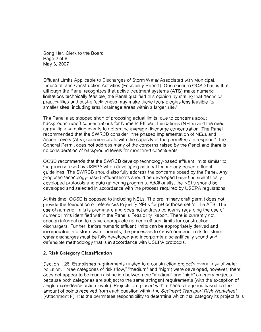Song Her, Clerk to the Board  $P$ age  $Z$  of  $6$ May 3, 2007

limitations technically feasible, the Panel qualified this opinion by stating that "technical Effluent Limits Applicable to Discharges of Storm Water Associated with Municipal, Industrial, and Construction Activities (Feasibility Report). One concern OCSD has is that although the Panel recognizes that active treatment systems (ATS) make numeric limitations technically feasible, the Panel qualified this opinion by stating that "technical practicalities and cost-effectiveness may make these technologies less feasible for smaller sites, including small drainage areas within a larger site."

The Panel also stopped short of proposing actual limits, due to concerns about background runoff concentrations for Numeric Effluent Limitations (NELs) and the need for multiple sampling events to determine average discharge concentration. The Panel<br>recommended that the SWRCB consider, "the phased implementation of NELs and Action Levels (ALs), commensurate with the capacity of the permittees to respond." The General Permit does not address many of the concerns raised by the Panel and there is no consideration of background levels for monitored constituents.

OCSD recommends that the SWRCB develop technology-based effluent limits similar to the process used by USEPA when developing national technology-based effluent<br>guidelines. The SWRCB should also fully address the concerns posed by the Panel. Any proposed technology-based effluent limits should be developed based on scientifically developed protocols and data gathering programs. Additionally, the NELs should be developed and selected in accordance with the process required by USEPA regulations.

numeric limits identified within the Panel's Feasibility Report. There is currently not At this time, OCSD is opposed to including NELs. The preliminary draft permit of  $\alpha$ provide the foundation or references to justify NELs for pH or those set for the ATS. The use of numeric limits is premature and does not address concerns regarding the use of numeric limits identified within the Panel's Feasibility Report. There is currently not enough information to derive appropriate numeric effluent limits for construction dischargers. Further, before numeric effluent limits can be appropriately derived and incorporated into storm water permits, the processes to derive numeric limits for storm<br>water discharges must be fully developed and incorporate a scientifically sound and defensible methodology that is in accordance with USEPA protocols.

## 2. Risk Category Classification

Section I. 26. Establishes requirements related to a construction project's overall risk of water pollution. Three categories of risk ("low," "medium" and "high") were developed, however, there does not appear to be much distinction between the "medium" and "high" category projects<br>because both categories are subject to the same stringent requirements (with the exception of single exceedence action levels). Projects are placed within these categories based on the amount of points received from each question within the Sediment Transport Risk Worksheet (Attachment F). It is the permittees responsibility to determine which risk category its project falls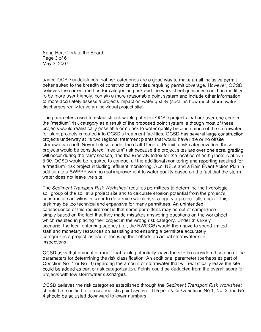Song Her, Clerk to the Board understands that risk categories are a good way to make an all inclusive permitted way to make an all inclusive permitted way to make an all inclusive permitted way to make an all inclusive permitted way to make an all inc  $\log 3$ , 2007.  $\log$ 

under. OCSD understands that risk categories are a good way to make an all inclusive permit better suited to the breadth of construction activities requiring permit coverage. However, OCSD<br>believes the current method for categorizing risk and the work sheet questions could be modified to be more user friendly, contain a more reasonable point system and include other information to more accurately assess a projects impact on water quality (such as how much storm water discharges really leave an individual project site).

The parameters used to establish risk would put most OCSD projects that are over one the "medium" risk category as a result of the proposed point system, although most of these projects would realistically pose little or no risk to water quality because much of the stormwater for plant projects is routed into OCSD's treatment facilities. OCSD has several large construction projects underway at its two regional treatment plants that would have little or no offsite stormwater runoff. Nevertheless, under the draft General Permit's risk categorization, these projects would be considered "medium" risk because the project sites are over one acre, grading will occur during the rainy season, and the Erosivity Index for the location of both plants is above<br>5.00. OCSD would be required to conduct all the additional monitoring and reporting required for a "medium" risk project including: effluent monitoring, ALs, NELs and a Rain Event Action Plan in addition to a SWPPP with no real improvement to water quality based on the fact that the storm water does not leave the site.

The Sediment Transport Risk Worksheet requires permittees to determine the hydrologic soil group of the soil at a project site and to calculate erosion potential from the project's construction activities in order to determine which risk category a project falls under. This task may be too technical and expensive for many permittees. An unintended consequence of this requirement is that some permittees may be out of compliance simply based on the fact that they made mistakes answering questions on the worksheet which resulted in placing their project in the wrong risk category. Under this likely scenario, the local enforcing agency (i.e., the RWQCB) would then have to spend limited staff and monetary resources on assisting and ensuring a permittee accurately categorizes a project instead of focusing their efforts on actual stormwater site inspections.  $\blacksquare$ 

OCSD asks that amount of runoff that could potentially leave the site be considered as one of the parameters for determining the risk classification. An additional parameter (perhaps as part of Question No. 1 or No. 3) regarding the amount of stormwater that will realistically leave the site could be added as part of risk categorization. Points could be deducted from the overall score for projects with low stormwater discharges.

OCSD believes the risk categories established through the Sediment Transport Risk Worksheet should be modified to a more realistic point system. The points for Questions No.1, No. 3 and No. 4 should be adjusted downward to lower numbers.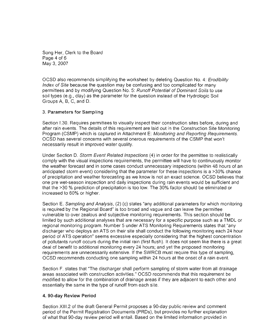Song Her, Clerk to the Board Page 4 of 6  $\,$ May 3, 2007

OCSD also recommends simplifying the worksheet by deleting Question No. 4: *Erodibility Index of Site* because the question may be confusing and too complicated for many permittees and by modifying Question No. 5: Runoff Potential of Dominant Soils to use soil types (e.g., clay) as the parameter for the question instead of the Hydrologic Soil Groups A. B. C. and D.

## 3. Parameters for Sampling

Section I.30. Requires permittees to visually inspect their construction sites before, during and<br>after rain events. The details of this requirement are laid out in the Construction Site Monitoring Program (CSMP) which is captured in Attachment E: Monitoring and Reporting Requirements. OCSD has several concerns with several onerous requirements of the CSMP that won't necessarily result in improved water quality.

anticipated storm event) considering that the parameter for the parameter for the parameter for the parameter  $\alpha$ Under Section D. Storm Event Related Inspections (4) in order for the permittee to realistically comply with the visual inspections requirements, the permittee will have to continuously monitor the weather forecast and in some cases conduct unnecessary inspections (within 48 hours of an anticipated storm event) considering that the parameter for these inspections is a >30% chance of precipitation and weather forecasting as we know is not an exact science. OCSD believes that one pre wet-season inspection and daily inspections during rain events would be sufficient and that the >30 % prediction of precipitation is too low. The 30% factor should be eliminated or increased to 60% or higher.

Section E. Sampling and Analysis, (2) (c) states "any additional parameters for which monitoring is required by the Regional Board" is too broad and vague and can leave the permittee vulnerable to over zealous and subjective monitoring requirements. This section should be limited by such additional analyses that are necessary for a specific purpose such as a TMDL or regional monitoring program. Number 5 under ATS Monitoring Requirements states that "any discharger who deploys an ATS on their site shall conduct the following monitoring each 24 hour period of ATS operation" seems excessive especially considering that the highest concentration<br>of pollutants runoff occurs during the initial rain (first flush). It does not seem like there is a great deal of benefit to additional monitoring every 24 hours; and yet the proposed monitoring requirements are unnecessarily extensive. If the SWRCB must require this type of sampling, OCSD recommends conducting one sampling within 24 hours at the onset of a rain event.

Section F, states that "The discharger shall perform sampling of storm water from all drainage areas associated with construction activities." OCSD recommends that this requirement be modified to allow for the combination of drainage areas if they are adjacent to each other and essentially the same in the type of runoff from each site.

### 4. 90-day Review Period

Section XIII.2 of the draft General Permit proposes a 90-day public review and comment period of the Permit Registration Documents (PRDs), but provides no further explanation of what that 90-day review period will entail. Based on the limited information provided in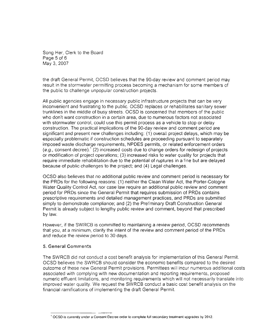Song Her, Clerk to the Board the draft General Permit, OCSO believes that the so-day review and comment period may review and comment period may review and comment period may review and comment period may review and comment period may review and comme  $r_{\rm c}$  in the stormwater permitting process becoming a mechanism for some members of some members of some members of some members of some members of some members of some members of some members of some members of some m

the draft General Permit, OCSD believes that the 90-day review and comment period may result in the stormwater permitting process becoming a mechanism for some members of the public to challenge unpopular construction projects.

All public agencies engage in necessary public infrastructure projects that can be ve inconvenient and frustrating to the public. OCSD replaces or rehabilitates sanitary sewer trunklines in the middle of busy streets. OCSD is concerned that members of the public who don't want construction in a certain area, due to numerous factors not associated with stormwater control, could use this permit process as a vehicle to stop or delay construction. The practical implications of the 90-day review and comment period are significant and present new challenges including; (1) overall project delays, which may be especially problematic if construction schedules are proceeding pursuant to separately imposed waste discharge requirements, NPDES permits, or related enforcement orders (e.g., consent decree).<sup>1</sup> (2) increased costs due to change orders for redesign of projects or modification of project operations; (3) increased risks to water quality for projects that require immediate rehabilitation due to the potential of ruptures in a line but are delayed because of public challenges to the project; and (4) Legal challenges.

OCSD also believes that no additional public review and comment period is necessary for the PRDs for the following reasons: (1) neither the Clean Water Act, the Porter-Cologne Water Quality Control Act, nor case law require an additional public review and comment period for PRDs since the General Permit that requires submission of PRDs contains prescriptive requirements and detailed management practices, and PRDs are submitted simply to demonstrate compliance; and (2) the Preliminary Draft Construction General Permit is already subject to lengthy public review and comment, beyond that prescribed by law.

However, if the SWRCB is committed to maintaining a review period, OCSD recommends that you, at a minimum, clarify the intent of the review and comment period of the PRDs and reduce the review period to 30 days.

## 5. General Comments.

The SWRCB did not conduct a cost benefit analysis for implementation of this General Permit. OCSD believes the SWRCB should consider the economic benefits compared to the desired outcome of these new General Permit provisions. Permittees will incur numerous additional costs associated with complying with new documentation and reporting requirements, proposed numeric effluent limitations, and monitoring requirements which will not necessarily translate into improved water quality. We request the SWRCB conduct a basic cost benefit analysis on the financial ramifications of implementing the draft General Permit.

<sup>&</sup>lt;sup>1</sup> OCSD is currently under a Consent Decree order to complete full secondary treatment upgrades by 2012.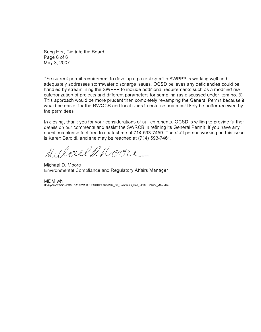Song Her, Clerk to the Board Page 6 of 6  $\,$  $\Delta$ dequately addresses stormwater discharge issues. OCSD believes any definition believes any definition of  $\Delta$ 

The current permit requirement to develop a project specific SWPPP is working well and adequately addresses stormwater discharge issues. OCSD believes any deficiencies could be handled by streamlining the SWPPP to include additional requirements such as a modified risk categorization of projects and different parameters for sampling (as discussed under item no. 3). This approach would be more prudent then completely revamping the General Permit because it would be easier for the RWQCB and local cities to enforce and most likely be better received by the permittees.

In closing, thank you for your considerations of our comments. OCSD is willing to provide further details on our comments and assist the SWRCB in refining its General Permit. If you have any questions please feel free to contact me at 714-593-7450. The staff person working on this issue is Karen Baroldi, and she may be reached at (714) 593-7461.

Michael D. Moore  $\mathcal{L} \cap \mathcal{L} \cap \mathcal{L} \cap \mathcal{L} \cap \mathcal{L} \cap \mathcal{L} \cap \mathcal{L} \cap \mathcal{L} \cap \mathcal{L} \cap \mathcal{L} \cap \mathcal{L} \cap \mathcal{L} \cap \mathcal{L} \cap \mathcal{L} \cap \mathcal{L} \cap \mathcal{L} \cap \mathcal{L} \cap \mathcal{L} \cap \mathcal{L} \cap \mathcal{L} \cap \mathcal{L} \cap \mathcal{L} \cap \mathcal{L} \cap \mathcal{L} \cap \mathcal{L} \cap \mathcal{L} \cap \mathcal{L} \cap \mathcal{$ 

Michael D. Moore Environmental Compliance and Regulatory Affairs Manager

MDM:wh H \depl\ts\620\GENERAL DATA\WATER GROUP\Letters\D2\_KB\_Comments\_Con\_NPDES Permit\_2007 doc